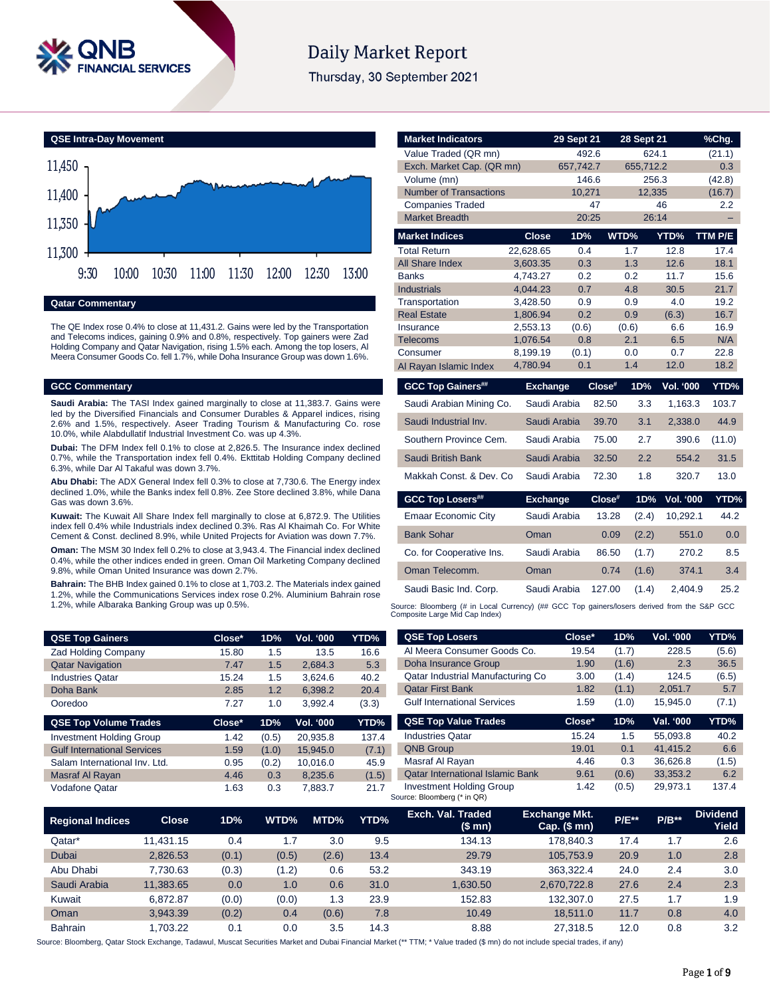

# **Daily Market Report**

Thursday, 30 September 2021



### **Qatar Commentary**

The QE Index rose 0.4% to close at 11,431.2. Gains were led by the Transportation and Telecoms indices, gaining 0.9% and 0.8%, respectively. Top gainers were Zad Holding Company and Qatar Navigation, rising 1.5% each. Among the top losers, Al Meera Consumer Goods Co. fell 1.7%, while Doha Insurance Group was down 1.6%.

#### **GCC Commentary**

**Saudi Arabia:** The TASI Index gained marginally to close at 11,383.7. Gains were led by the Diversified Financials and Consumer Durables & Apparel indices, rising 2.6% and 1.5%, respectively. Aseer Trading Tourism & Manufacturing Co. rose 10.0%, while Alabdullatif Industrial Investment Co. was up 4.3%.

**Dubai:** The DFM Index fell 0.1% to close at 2,826.5. The Insurance index declined 0.7%, while the Transportation index fell 0.4%. Ekttitab Holding Company declined 6.3%, while Dar Al Takaful was down 3.7%.

**Abu Dhabi:** The ADX General Index fell 0.3% to close at 7,730.6. The Energy index declined 1.0%, while the Banks index fell 0.8%. Zee Store declined 3.8%, while Dana Gas was down 3.6%.

**Kuwait:** The Kuwait All Share Index fell marginally to close at 6,872.9. The Utilities index fell 0.4% while Industrials index declined 0.3%. Ras Al Khaimah Co. For White Cement & Const. declined 8.9%, while United Projects for Aviation was down 7.7%.

**Oman:** The MSM 30 Index fell 0.2% to close at 3,943.4. The Financial index declined 0.4%, while the other indices ended in green. Oman Oil Marketing Company declined 9.8%, while Oman United Insurance was down 2.7%.

**Bahrain:** The BHB Index gained 0.1% to close at 1,703.2. The Materials index gained 1.2%, while the Communications Services index rose 0.2%. Aluminium Bahrain rose 1.2%, while Albaraka Banking Group was up 0.5%.

| <b>Market Indicators</b>                                                                                                      |                      | 29 Sept 21   |           | 28 Sept 21   |                  | %Chg.       |
|-------------------------------------------------------------------------------------------------------------------------------|----------------------|--------------|-----------|--------------|------------------|-------------|
| Value Traded (QR mn)                                                                                                          |                      | 492.6        |           | 624.1        |                  | (21.1)      |
| Exch. Market Cap. (QR mn)                                                                                                     |                      | 657.742.7    |           | 655,712.2    |                  | 0.3         |
| Volume (mn)                                                                                                                   |                      | 146.6        |           | 256.3        |                  | (42.8)      |
| <b>Number of Transactions</b>                                                                                                 |                      | 10.271       |           | 12,335       |                  | (16.7)      |
| <b>Companies Traded</b>                                                                                                       |                      | 47           |           |              | 46               | 2.2         |
| <b>Market Breadth</b>                                                                                                         |                      | 20:25        |           | 26:14        |                  |             |
| <b>Market Indices</b>                                                                                                         | <b>Close</b>         | 1D%          | WTD%      |              | YTD%             | TTM P/E     |
| <b>Total Return</b>                                                                                                           | 22,628.65            | 0.4          |           | 1.7          | 12.8             | 17.4        |
| <b>All Share Index</b>                                                                                                        | 3,603.35             | 0.3          |           | 1.3          | 12.6             | 18.1        |
| <b>Banks</b>                                                                                                                  | 4.743.27             | 0.2          |           | 0.2          | 11.7             | 15.6        |
| <b>Industrials</b>                                                                                                            | 4,044.23             | 0.7          |           | 4.8          | 30.5             | 21.7        |
| Transportation                                                                                                                | 3,428.50             | 0.9          |           | 0.9          | 4.0              | 19.2        |
| <b>Real Estate</b>                                                                                                            | 1.806.94             | 0.2          |           | 0.9          | (6.3)            | 16.7        |
| Insurance<br>Telecoms                                                                                                         | 2,553.13<br>1,076.54 | (0.6)<br>0.8 |           | (0.6)<br>2.1 | 6.6<br>6.5       | 16.9<br>N/A |
| Consumer                                                                                                                      | 8,199.19             | (0.1)        |           | 0.0          | 0.7              | 22.8        |
| Al Ravan Islamic Index                                                                                                        | 4,780.94             | 0.1          |           | 1.4          | 12.0             | 18.2        |
|                                                                                                                               |                      |              |           |              |                  |             |
| <b>GCC Top Gainers##</b>                                                                                                      | <b>Exchange</b>      |              | $Close^*$ | 1D%          | <b>Vol. '000</b> | YTD%        |
| Saudi Arabian Mining Co.                                                                                                      |                      | Saudi Arabia | 82.50     | 3.3          | 1,163.3          | 103.7       |
| Saudi Industrial Inv.                                                                                                         |                      | Saudi Arabia | 39.70     | 3.1          | 2,338.0          | 44.9        |
| Southern Province Cem.                                                                                                        |                      | Saudi Arabia | 75.00     | 2.7          | 390.6            | (11.0)      |
| Saudi British Bank                                                                                                            |                      | Saudi Arabia | 32.50     | 2.2          | 554.2            | 31.5        |
| Makkah Const, & Dev. Co                                                                                                       |                      | Saudi Arabia | 72.30     | 1.8          | 320.7            | 13.0        |
| <b>GCC Top Losers##</b>                                                                                                       | <b>Exchange</b>      |              | Close#    | 1D%          | <b>Vol. '000</b> | YTD%        |
| <b>Emaar Economic City</b>                                                                                                    |                      | Saudi Arabia | 13.28     | (2.4)        | 10,292.1         | 44.2        |
| <b>Bank Sohar</b>                                                                                                             | Oman                 |              | 0.09      | (2.2)        | 551.0            | 0.0         |
| Co. for Cooperative Ins.                                                                                                      |                      | Saudi Arabia | 86.50     | (1.7)        | 270.2            | 8.5         |
| Oman Telecomm.                                                                                                                | Oman                 |              | 0.74      | (1.6)        | 374.1            | 3.4         |
| Saudi Basic Ind. Corp.                                                                                                        |                      | Saudi Arabia | 127.00    | (1.4)        | 2,404.9          | 25.2        |
| Source: Bloomberg (# in Local Currency) (## GCC Top gainers/losers derived from the S&P GCC<br>Composite Large Mid Cap Index) |                      |              |           |              |                  |             |
| <b>QSE Top Losers</b>                                                                                                         |                      | Close*       |           | 1D%          | Vol. '000        | YTD%        |

| QSE Top Gainers                    | Close* | 1D%   | <b>Vol. '000</b> | YTD% <sub>·</sub> | <b>QSE Top Losers</b>                                    |
|------------------------------------|--------|-------|------------------|-------------------|----------------------------------------------------------|
| <b>Zad Holding Company</b>         | 15.80  | 1.5   | 13.5             | 16.6              | Al Meera Consumer                                        |
| <b>Qatar Navigation</b>            | 7.47   | 1.5   | 2,684.3          | 5.3               | Doha Insurance Gro                                       |
| <b>Industries Qatar</b>            | 15.24  | 1.5   | 3.624.6          | 40.2              | <b>Qatar Industrial Mar</b>                              |
| Doha Bank                          | 2.85   | 1.2   | 6.398.2          | 20.4              | <b>Qatar First Bank</b>                                  |
| Ooredoo                            | 7.27   | 1.0   | 3.992.4          | (3.3)             | Gulf International Se                                    |
| <b>QSE Top Volume Trades</b>       | Close* | 1D%   | Vol. '000        | YTD%              | <b>QSE Top Value Tra</b>                                 |
| Investment Holding Group           | 1.42   | (0.5) | 20.935.8         | 137.4             | <b>Industries Qatar</b>                                  |
| <b>Gulf International Services</b> | 1.59   | (1.0) | 15,945.0         | (7.1)             | <b>QNB Group</b>                                         |
| Salam International Inv. Ltd.      | 0.95   | (0.2) | 10.016.0         | 45.9              | Masraf Al Rayan                                          |
| Masraf Al Rayan                    | 4.46   | 0.3   | 8.235.6          | (1.5)             | <b>Qatar International I</b>                             |
| Vodafone Qatar                     | 1.63   | 0.3   | 7,883.7          | 21.7              | <b>Investment Holding</b><br>Source: Bloomberg (* in QR) |

| Al Meera Consumer Goods Co.             | 19.54  | (1.7) | 228.5     | (5.6) |
|-----------------------------------------|--------|-------|-----------|-------|
| Doha Insurance Group                    | 1.90   | (1.6) | 2.3       | 36.5  |
| Qatar Industrial Manufacturing Co       | 3.00   | (1.4) | 124.5     | (6.5) |
| <b>Qatar First Bank</b>                 | 1.82   | (1.1) | 2,051.7   | 5.7   |
| <b>Gulf International Services</b>      | 1.59   | (1.0) | 15,945.0  | (7.1) |
|                                         |        |       |           |       |
| <b>QSE Top Value Trades</b>             | Close* | 1D%   | Val. '000 | YTD%  |
| <b>Industries Qatar</b>                 | 15.24  | 1.5   | 55,093.8  | 40.2  |
| <b>QNB Group</b>                        | 19.01  | 0.1   | 41,415.2  | 6.6   |
| Masraf Al Rayan                         | 4.46   | 0.3   | 36,626.8  | (1.5) |
| <b>Qatar International Islamic Bank</b> | 9.61   | (0.6) | 33,353.2  | 6.2   |

| <b>Regional Indices</b> | <b>Close</b> | 1D%   | WTD%  | MTD%  | YTD% | Exch. Val. Traded<br>(\$mn) | <b>Exchange Mkt.</b><br>Cap. $($$ mn $)$ | $P/E***$ | $P/B**$ | <b>Dividend</b><br>Yield |
|-------------------------|--------------|-------|-------|-------|------|-----------------------------|------------------------------------------|----------|---------|--------------------------|
| Qatar*                  | 11.431.15    | 0.4   | ۱.7   | 3.0   | 9.5  | 134.13                      | 178,840.3                                | 17.4     | 1.7     | 2.6                      |
| Dubai                   | 2,826.53     | (0.1) | (0.5) | (2.6) | 13.4 | 29.79                       | 105.753.9                                | 20.9     | 1.0     | 2.8                      |
| Abu Dhabi               | 7.730.63     | (0.3) | (1.2) | 0.6   | 53.2 | 343.19                      | 363.322.4                                | 24.0     | 2.4     | 3.0                      |
| Saudi Arabia            | 11.383.65    | 0.0   | 1.0   | 0.6   | 31.0 | 1.630.50                    | 2.670.722.8                              | 27.6     | 2.4     | 2.3                      |
| Kuwait                  | 6.872.87     | (0.0) | (0.0) | 1.3   | 23.9 | 152.83                      | 132,307.0                                | 27.5     | 1.7     | 1.9                      |
| Oman                    | 3.943.39     | (0.2) | 0.4   | (0.6) | 7.8  | 10.49                       | 18.511.0                                 | 11.7     | 0.8     | 4.0                      |
| <b>Bahrain</b>          | 1.703.22     | 0.1   | 0.0   | 3.5   | 14.3 | 8.88                        | 27.318.5                                 | 12.0     | 0.8     | 3.2                      |

Source: Bloomberg, Qatar Stock Exchange, Tadawul, Muscat Securities Market and Dubai Financial Market (\*\* TTM; \* Value traded (\$ mn) do not include special trades, if any)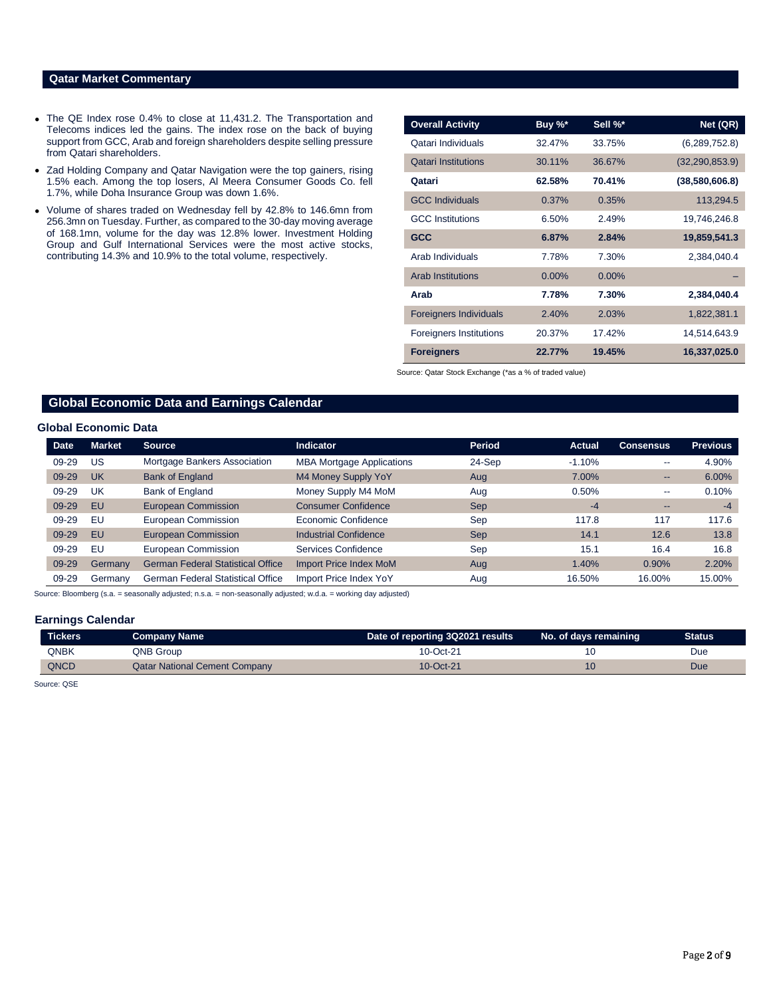#### **Qatar Market Commentary**

- The QE Index rose 0.4% to close at 11,431.2. The Transportation and Telecoms indices led the gains. The index rose on the back of buying support from GCC, Arab and foreign shareholders despite selling pressure from Qatari shareholders.
- Zad Holding Company and Qatar Navigation were the top gainers, rising 1.5% each. Among the top losers, Al Meera Consumer Goods Co. fell 1.7%, while Doha Insurance Group was down 1.6%.
- Volume of shares traded on Wednesday fell by 42.8% to 146.6mn from 256.3mn on Tuesday. Further, as compared to the 30-day moving average of 168.1mn, volume for the day was 12.8% lower. Investment Holding Group and Gulf International Services were the most active stocks, contributing 14.3% and 10.9% to the total volume, respectively.

| <b>Overall Activity</b>        | Buy %*   | Sell %*  | Net (QR)         |
|--------------------------------|----------|----------|------------------|
| Qatari Individuals             | 32.47%   | 33.75%   | (6,289,752.8)    |
| <b>Qatari Institutions</b>     | 30.11%   | 36.67%   | (32, 290, 853.9) |
| Qatari                         | 62.58%   | 70.41%   | (38,580,606.8)   |
| <b>GCC Individuals</b>         | 0.37%    | 0.35%    | 113,294.5        |
| <b>GCC</b> Institutions        | 6.50%    | 2.49%    | 19,746,246.8     |
| <b>GCC</b>                     | 6.87%    | 2.84%    | 19,859,541.3     |
| Arab Individuals               | 7.78%    | 7.30%    | 2,384,040.4      |
| <b>Arab Institutions</b>       | $0.00\%$ | $0.00\%$ |                  |
| Arab                           | 7.78%    | 7.30%    | 2,384,040.4      |
| <b>Foreigners Individuals</b>  | 2.40%    | 2.03%    | 1,822,381.1      |
| <b>Foreigners Institutions</b> | 20.37%   | 17.42%   | 14,514,643.9     |
| <b>Foreigners</b>              | 22.77%   | 19.45%   | 16,337,025.0     |

Source: Qatar Stock Exchange (\*as a % of traded value)

## **Global Economic Data and Earnings Calendar**

#### **Global Economic Data**

| Date    | <b>Market</b> | <b>Source</b>                            | <b>Indicator</b>                 | Period     | Actual   | <b>Consensus</b>         | <b>Previous</b> |
|---------|---------------|------------------------------------------|----------------------------------|------------|----------|--------------------------|-----------------|
|         |               |                                          |                                  |            |          |                          |                 |
| 09-29   | US            | Mortgage Bankers Association             | <b>MBA Mortgage Applications</b> | 24-Sep     | $-1.10%$ | $\overline{\phantom{m}}$ | 4.90%           |
| 09-29   | UK            | <b>Bank of England</b>                   | M4 Money Supply YoY              | Aug        | 7.00%    | $\qquad \qquad \cdots$   | 6.00%           |
| $09-29$ | UK            | Bank of England                          | Money Supply M4 MoM              | Aug        | 0.50%    | $\overline{\phantom{m}}$ | 0.10%           |
| 09-29   | EU            | <b>European Commission</b>               | <b>Consumer Confidence</b>       | <b>Sep</b> | $-4$     | --                       | $-4$            |
| $09-29$ | EU            | European Commission                      | Economic Confidence              | Sep        | 117.8    | 117                      | 117.6           |
| 09-29   | EU            | <b>European Commission</b>               | <b>Industrial Confidence</b>     | <b>Sep</b> | 14.1     | 12.6                     | 13.8            |
| 09-29   | EU            | European Commission                      | Services Confidence              | Sep        | 15.1     | 16.4                     | 16.8            |
| 09-29   | Germany       | <b>German Federal Statistical Office</b> | Import Price Index MoM           | Aug        | 1.40%    | 0.90%                    | 2.20%           |
| 09-29   | Germany       | <b>German Federal Statistical Office</b> | Import Price Index YoY           | Aug        | 16.50%   | 16.00%                   | 15.00%          |

Source: Bloomberg (s.a. = seasonally adjusted; n.s.a. = non-seasonally adjusted; w.d.a. = working day adjusted)

#### **Earnings Calendar**

| <b>Tickers</b> | Company Name                         | Date of reporting 3Q2021 results | No. of days remaining | Status |
|----------------|--------------------------------------|----------------------------------|-----------------------|--------|
| QNBK           | QNB Group                            | 10-Oct-21                        |                       | Due    |
| QNCD           | <b>Qatar National Cement Company</b> | 10-Oct-21                        |                       | Due    |

Source: QSE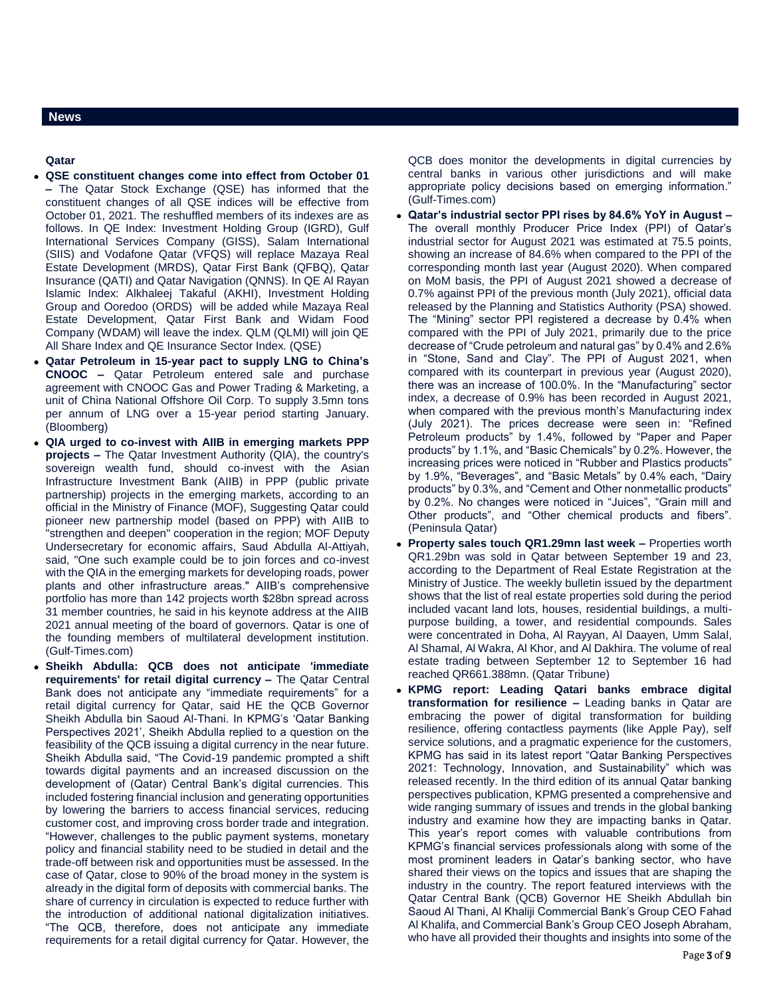### **News**

#### **Qatar**

- **QSE constituent changes come into effect from October 01 –** The Qatar Stock Exchange (QSE) has informed that the constituent changes of all QSE indices will be effective from October 01, 2021. The reshuffled members of its indexes are as follows. In QE Index: Investment Holding Group (IGRD), Gulf International Services Company (GISS), Salam International (SIIS) and Vodafone Qatar (VFQS) will replace Mazaya Real Estate Development (MRDS), Qatar First Bank (QFBQ), Qatar Insurance (QATI) and Qatar Navigation (QNNS). In QE Al Rayan Islamic Index: Alkhaleej Takaful (AKHI), Investment Holding Group and Ooredoo (ORDS) will be added while Mazaya Real Estate Development, Qatar First Bank and Widam Food Company (WDAM) will leave the index. QLM (QLMI) will join QE All Share Index and QE Insurance Sector Index. (QSE)
- **Qatar Petroleum in 15-year pact to supply LNG to China's CNOOC –** Qatar Petroleum entered sale and purchase agreement with CNOOC Gas and Power Trading & Marketing, a unit of China National Offshore Oil Corp. To supply 3.5mn tons per annum of LNG over a 15-year period starting January. (Bloomberg)
- **QIA urged to co-invest with AIIB in emerging markets PPP projects –** The Qatar Investment Authority (QIA), the country's sovereign wealth fund, should co-invest with the Asian Infrastructure Investment Bank (AIIB) in PPP (public private partnership) projects in the emerging markets, according to an official in the Ministry of Finance (MOF), Suggesting Qatar could pioneer new partnership model (based on PPP) with AIIB to "strengthen and deepen" cooperation in the region; MOF Deputy Undersecretary for economic affairs, Saud Abdulla Al-Attiyah, said, "One such example could be to join forces and co-invest with the QIA in the emerging markets for developing roads, power plants and other infrastructure areas." AIIB's comprehensive portfolio has more than 142 projects worth \$28bn spread across 31 member countries, he said in his keynote address at the AIIB 2021 annual meeting of the board of governors. Qatar is one of the founding members of multilateral development institution. (Gulf-Times.com)
- **Sheikh Abdulla: QCB does not anticipate 'immediate requirements' for retail digital currency –** The Qatar Central Bank does not anticipate any "immediate requirements" for a retail digital currency for Qatar, said HE the QCB Governor Sheikh Abdulla bin Saoud Al-Thani. In KPMG's 'Qatar Banking Perspectives 2021', Sheikh Abdulla replied to a question on the feasibility of the QCB issuing a digital currency in the near future. Sheikh Abdulla said, "The Covid-19 pandemic prompted a shift towards digital payments and an increased discussion on the development of (Qatar) Central Bank's digital currencies. This included fostering financial inclusion and generating opportunities by lowering the barriers to access financial services, reducing customer cost, and improving cross border trade and integration. "However, challenges to the public payment systems, monetary policy and financial stability need to be studied in detail and the trade-off between risk and opportunities must be assessed. In the case of Qatar, close to 90% of the broad money in the system is already in the digital form of deposits with commercial banks. The share of currency in circulation is expected to reduce further with the introduction of additional national digitalization initiatives. "The QCB, therefore, does not anticipate any immediate requirements for a retail digital currency for Qatar. However, the

QCB does monitor the developments in digital currencies by central banks in various other jurisdictions and will make appropriate policy decisions based on emerging information." (Gulf-Times.com)

- **Qatar's industrial sector PPI rises by 84.6% YoY in August –** The overall monthly Producer Price Index (PPI) of Qatar's industrial sector for August 2021 was estimated at 75.5 points, showing an increase of 84.6% when compared to the PPI of the corresponding month last year (August 2020). When compared on MoM basis, the PPI of August 2021 showed a decrease of 0.7% against PPI of the previous month (July 2021), official data released by the Planning and Statistics Authority (PSA) showed. The "Mining" sector PPI registered a decrease by 0.4% when compared with the PPI of July 2021, primarily due to the price decrease of "Crude petroleum and natural gas" by 0.4% and 2.6% in "Stone, Sand and Clay". The PPI of August 2021, when compared with its counterpart in previous year (August 2020), there was an increase of 100.0%. In the "Manufacturing" sector index, a decrease of 0.9% has been recorded in August 2021, when compared with the previous month's Manufacturing index (July 2021). The prices decrease were seen in: "Refined Petroleum products" by 1.4%, followed by "Paper and Paper products" by 1.1%, and "Basic Chemicals" by 0.2%. However, the increasing prices were noticed in "Rubber and Plastics products" by 1.9%, "Beverages", and "Basic Metals" by 0.4% each, "Dairy products" by 0.3%, and "Cement and Other nonmetallic products" by 0.2%. No changes were noticed in "Juices", "Grain mill and Other products", and "Other chemical products and fibers". (Peninsula Qatar)
- **Property sales touch QR1.29mn last week –** Properties worth QR1.29bn was sold in Qatar between September 19 and 23, according to the Department of Real Estate Registration at the Ministry of Justice. The weekly bulletin issued by the department shows that the list of real estate properties sold during the period included vacant land lots, houses, residential buildings, a multipurpose building, a tower, and residential compounds. Sales were concentrated in Doha, Al Rayyan, Al Daayen, Umm Salal, Al Shamal, Al Wakra, Al Khor, and Al Dakhira. The volume of real estate trading between September 12 to September 16 had reached QR661.388mn. (Qatar Tribune)
- **KPMG report: Leading Qatari banks embrace digital transformation for resilience –** Leading banks in Qatar are embracing the power of digital transformation for building resilience, offering contactless payments (like Apple Pay), self service solutions, and a pragmatic experience for the customers, KPMG has said in its latest report "Qatar Banking Perspectives 2021: Technology, Innovation, and Sustainability" which was released recently. In the third edition of its annual Qatar banking perspectives publication, KPMG presented a comprehensive and wide ranging summary of issues and trends in the global banking industry and examine how they are impacting banks in Qatar. This year's report comes with valuable contributions from KPMG's financial services professionals along with some of the most prominent leaders in Qatar's banking sector, who have shared their views on the topics and issues that are shaping the industry in the country. The report featured interviews with the Qatar Central Bank (QCB) Governor HE Sheikh Abdullah bin Saoud Al Thani, Al Khaliji Commercial Bank's Group CEO Fahad Al Khalifa, and Commercial Bank's Group CEO Joseph Abraham, who have all provided their thoughts and insights into some of the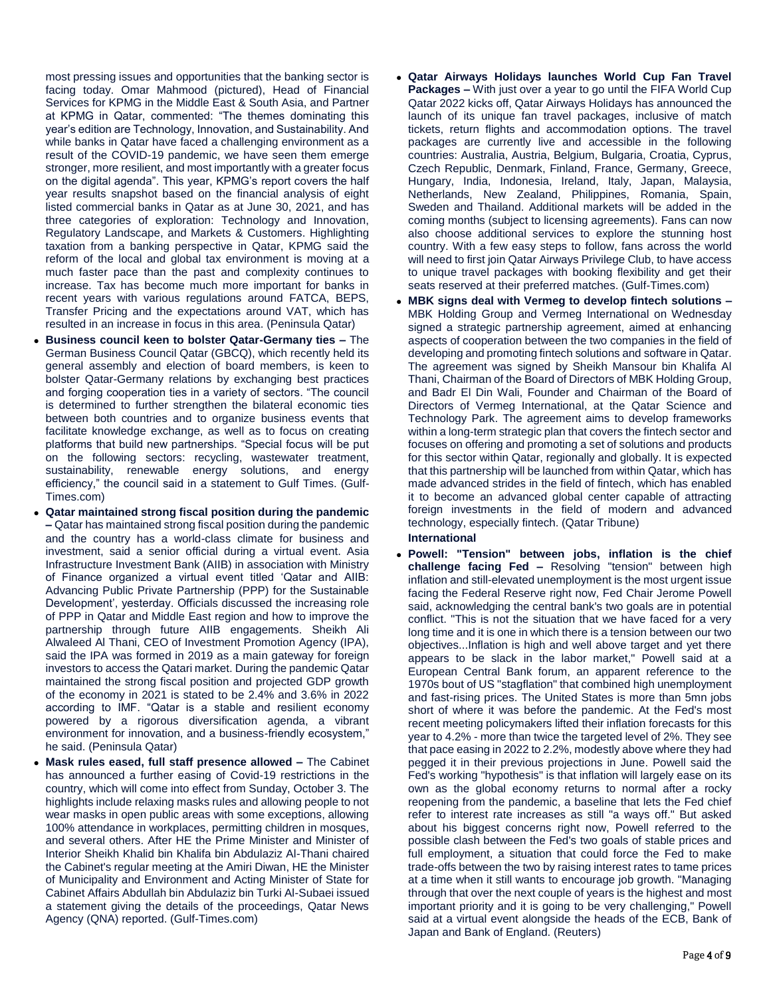most pressing issues and opportunities that the banking sector is facing today. Omar Mahmood (pictured), Head of Financial Services for KPMG in the Middle East & South Asia, and Partner at KPMG in Qatar, commented: "The themes dominating this year's edition are Technology, Innovation, and Sustainability. And while banks in Qatar have faced a challenging environment as a result of the COVID-19 pandemic, we have seen them emerge stronger, more resilient, and most importantly with a greater focus on the digital agenda". This year, KPMG's report covers the half year results snapshot based on the financial analysis of eight listed commercial banks in Qatar as at June 30, 2021, and has three categories of exploration: Technology and Innovation, Regulatory Landscape, and Markets & Customers. Highlighting taxation from a banking perspective in Qatar, KPMG said the reform of the local and global tax environment is moving at a much faster pace than the past and complexity continues to increase. Tax has become much more important for banks in recent years with various regulations around FATCA, BEPS, Transfer Pricing and the expectations around VAT, which has resulted in an increase in focus in this area. (Peninsula Qatar)

- **Business council keen to bolster Qatar-Germany ties –** The German Business Council Qatar (GBCQ), which recently held its general assembly and election of board members, is keen to bolster Qatar-Germany relations by exchanging best practices and forging cooperation ties in a variety of sectors. "The council is determined to further strengthen the bilateral economic ties between both countries and to organize business events that facilitate knowledge exchange, as well as to focus on creating platforms that build new partnerships. "Special focus will be put on the following sectors: recycling, wastewater treatment, sustainability, renewable energy solutions, and energy efficiency," the council said in a statement to Gulf Times. (Gulf-Times.com)
- **Qatar maintained strong fiscal position during the pandemic –** Qatar has maintained strong fiscal position during the pandemic and the country has a world-class climate for business and investment, said a senior official during a virtual event. Asia Infrastructure Investment Bank (AIIB) in association with Ministry of Finance organized a virtual event titled 'Qatar and AIIB: Advancing Public Private Partnership (PPP) for the Sustainable Development', yesterday. Officials discussed the increasing role of PPP in Qatar and Middle East region and how to improve the partnership through future AIIB engagements. Sheikh Ali Alwaleed Al Thani, CEO of Investment Promotion Agency (IPA), said the IPA was formed in 2019 as a main gateway for foreign investors to access the Qatari market. During the pandemic Qatar maintained the strong fiscal position and projected GDP growth of the economy in 2021 is stated to be 2.4% and 3.6% in 2022 according to IMF. "Qatar is a stable and resilient economy powered by a rigorous diversification agenda, a vibrant environment for innovation, and a business-friendly ecosystem," he said. (Peninsula Qatar)
- **Mask rules eased, full staff presence allowed –** The Cabinet has announced a further easing of Covid-19 restrictions in the country, which will come into effect from Sunday, October 3. The highlights include relaxing masks rules and allowing people to not wear masks in open public areas with some exceptions, allowing 100% attendance in workplaces, permitting children in mosques, and several others. After HE the Prime Minister and Minister of Interior Sheikh Khalid bin Khalifa bin Abdulaziz Al-Thani chaired the Cabinet's regular meeting at the Amiri Diwan, HE the Minister of Municipality and Environment and Acting Minister of State for Cabinet Affairs Abdullah bin Abdulaziz bin Turki Al-Subaei issued a statement giving the details of the proceedings, Qatar News Agency (QNA) reported. (Gulf-Times.com)
- **Qatar Airways Holidays launches World Cup Fan Travel Packages –** With just over a year to go until the FIFA World Cup Qatar 2022 kicks off, Qatar Airways Holidays has announced the launch of its unique fan travel packages, inclusive of match tickets, return flights and accommodation options. The travel packages are currently live and accessible in the following countries: Australia, Austria, Belgium, Bulgaria, Croatia, Cyprus, Czech Republic, Denmark, Finland, France, Germany, Greece, Hungary, India, Indonesia, Ireland, Italy, Japan, Malaysia, Netherlands, New Zealand, Philippines, Romania, Spain, Sweden and Thailand. Additional markets will be added in the coming months (subject to licensing agreements). Fans can now also choose additional services to explore the stunning host country. With a few easy steps to follow, fans across the world will need to first join Qatar Airways Privilege Club, to have access to unique travel packages with booking flexibility and get their seats reserved at their preferred matches. (Gulf-Times.com)
- **MBK signs deal with Vermeg to develop fintech solutions –** MBK Holding Group and Vermeg International on Wednesday signed a strategic partnership agreement, aimed at enhancing aspects of cooperation between the two companies in the field of developing and promoting fintech solutions and software in Qatar. The agreement was signed by Sheikh Mansour bin Khalifa Al Thani, Chairman of the Board of Directors of MBK Holding Group, and Badr El Din Wali, Founder and Chairman of the Board of Directors of Vermeg International, at the Qatar Science and Technology Park. The agreement aims to develop frameworks within a long-term strategic plan that covers the fintech sector and focuses on offering and promoting a set of solutions and products for this sector within Qatar, regionally and globally. It is expected that this partnership will be launched from within Qatar, which has made advanced strides in the field of fintech, which has enabled it to become an advanced global center capable of attracting foreign investments in the field of modern and advanced technology, especially fintech. (Qatar Tribune)
	- **International**
- **Powell: "Tension" between jobs, inflation is the chief challenge facing Fed –** Resolving "tension" between high inflation and still-elevated unemployment is the most urgent issue facing the Federal Reserve right now, Fed Chair Jerome Powell said, acknowledging the central bank's two goals are in potential conflict. "This is not the situation that we have faced for a very long time and it is one in which there is a tension between our two objectives...Inflation is high and well above target and yet there appears to be slack in the labor market," Powell said at a European Central Bank forum, an apparent reference to the 1970s bout of US "stagflation" that combined high unemployment and fast-rising prices. The United States is more than 5mn jobs short of where it was before the pandemic. At the Fed's most recent meeting policymakers lifted their inflation forecasts for this year to 4.2% - more than twice the targeted level of 2%. They see that pace easing in 2022 to 2.2%, modestly above where they had pegged it in their previous projections in June. Powell said the Fed's working "hypothesis" is that inflation will largely ease on its own as the global economy returns to normal after a rocky reopening from the pandemic, a baseline that lets the Fed chief refer to interest rate increases as still "a ways off." But asked about his biggest concerns right now, Powell referred to the possible clash between the Fed's two goals of stable prices and full employment, a situation that could force the Fed to make trade-offs between the two by raising interest rates to tame prices at a time when it still wants to encourage job growth. "Managing through that over the next couple of years is the highest and most important priority and it is going to be very challenging," Powell said at a virtual event alongside the heads of the ECB, Bank of Japan and Bank of England. (Reuters)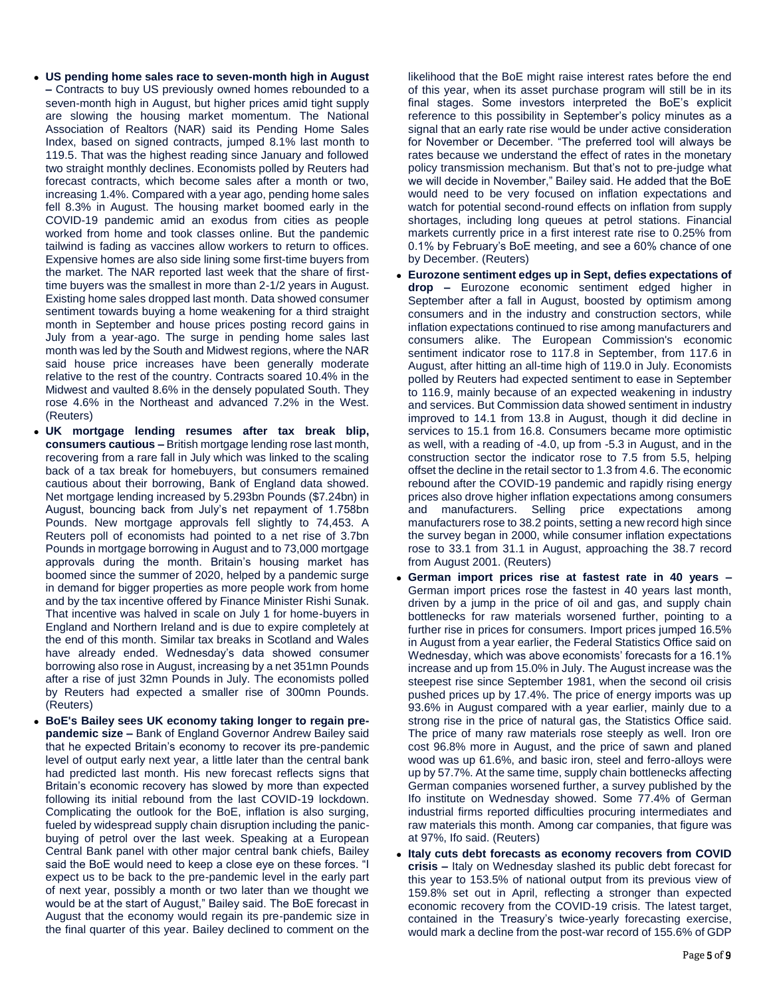- **US pending home sales race to seven-month high in August –** Contracts to buy US previously owned homes rebounded to a seven-month high in August, but higher prices amid tight supply are slowing the housing market momentum. The National Association of Realtors (NAR) said its Pending Home Sales Index, based on signed contracts, jumped 8.1% last month to 119.5. That was the highest reading since January and followed two straight monthly declines. Economists polled by Reuters had forecast contracts, which become sales after a month or two, increasing 1.4%. Compared with a year ago, pending home sales fell 8.3% in August. The housing market boomed early in the COVID-19 pandemic amid an exodus from cities as people worked from home and took classes online. But the pandemic tailwind is fading as vaccines allow workers to return to offices. Expensive homes are also side lining some first-time buyers from the market. The NAR reported last week that the share of firsttime buyers was the smallest in more than 2-1/2 years in August. Existing home sales dropped last month. Data showed consumer sentiment towards buying a home weakening for a third straight month in September and house prices posting record gains in July from a year-ago. The surge in pending home sales last month was led by the South and Midwest regions, where the NAR said house price increases have been generally moderate relative to the rest of the country. Contracts soared 10.4% in the Midwest and vaulted 8.6% in the densely populated South. They rose 4.6% in the Northeast and advanced 7.2% in the West. (Reuters)
- **UK mortgage lending resumes after tax break blip, consumers cautious –** British mortgage lending rose last month, recovering from a rare fall in July which was linked to the scaling back of a tax break for homebuyers, but consumers remained cautious about their borrowing, Bank of England data showed. Net mortgage lending increased by 5.293bn Pounds (\$7.24bn) in August, bouncing back from July's net repayment of 1.758bn Pounds. New mortgage approvals fell slightly to 74,453. A Reuters poll of economists had pointed to a net rise of 3.7bn Pounds in mortgage borrowing in August and to 73,000 mortgage approvals during the month. Britain's housing market has boomed since the summer of 2020, helped by a pandemic surge in demand for bigger properties as more people work from home and by the tax incentive offered by Finance Minister Rishi Sunak. That incentive was halved in scale on July 1 for home-buyers in England and Northern Ireland and is due to expire completely at the end of this month. Similar tax breaks in Scotland and Wales have already ended. Wednesday's data showed consumer borrowing also rose in August, increasing by a net 351mn Pounds after a rise of just 32mn Pounds in July. The economists polled by Reuters had expected a smaller rise of 300mn Pounds. (Reuters)
- **BoE's Bailey sees UK economy taking longer to regain prepandemic size –** Bank of England Governor Andrew Bailey said that he expected Britain's economy to recover its pre-pandemic level of output early next year, a little later than the central bank had predicted last month. His new forecast reflects signs that Britain's economic recovery has slowed by more than expected following its initial rebound from the last COVID-19 lockdown. Complicating the outlook for the BoE, inflation is also surging, fueled by widespread supply chain disruption including the panicbuying of petrol over the last week. Speaking at a European Central Bank panel with other major central bank chiefs, Bailey said the BoE would need to keep a close eye on these forces. "I expect us to be back to the pre-pandemic level in the early part of next year, possibly a month or two later than we thought we would be at the start of August," Bailey said. The BoE forecast in August that the economy would regain its pre-pandemic size in the final quarter of this year. Bailey declined to comment on the

likelihood that the BoE might raise interest rates before the end of this year, when its asset purchase program will still be in its final stages. Some investors interpreted the BoE's explicit reference to this possibility in September's policy minutes as a signal that an early rate rise would be under active consideration for November or December. "The preferred tool will always be rates because we understand the effect of rates in the monetary policy transmission mechanism. But that's not to pre-judge what we will decide in November," Bailey said. He added that the BoE would need to be very focused on inflation expectations and watch for potential second-round effects on inflation from supply shortages, including long queues at petrol stations. Financial markets currently price in a first interest rate rise to 0.25% from 0.1% by February's BoE meeting, and see a 60% chance of one by December. (Reuters)

- **Eurozone sentiment edges up in Sept, defies expectations of drop –** Eurozone economic sentiment edged higher in September after a fall in August, boosted by optimism among consumers and in the industry and construction sectors, while inflation expectations continued to rise among manufacturers and consumers alike. The European Commission's economic sentiment indicator rose to 117.8 in September, from 117.6 in August, after hitting an all-time high of 119.0 in July. Economists polled by Reuters had expected sentiment to ease in September to 116.9, mainly because of an expected weakening in industry and services. But Commission data showed sentiment in industry improved to 14.1 from 13.8 in August, though it did decline in services to 15.1 from 16.8. Consumers became more optimistic as well, with a reading of -4.0, up from -5.3 in August, and in the construction sector the indicator rose to 7.5 from 5.5, helping offset the decline in the retail sector to 1.3 from 4.6. The economic rebound after the COVID-19 pandemic and rapidly rising energy prices also drove higher inflation expectations among consumers and manufacturers. Selling price expectations among manufacturers rose to 38.2 points, setting a new record high since the survey began in 2000, while consumer inflation expectations rose to 33.1 from 31.1 in August, approaching the 38.7 record from August 2001. (Reuters)
- **German import prices rise at fastest rate in 40 years –** German import prices rose the fastest in 40 years last month, driven by a jump in the price of oil and gas, and supply chain bottlenecks for raw materials worsened further, pointing to a further rise in prices for consumers. Import prices jumped 16.5% in August from a year earlier, the Federal Statistics Office said on Wednesday, which was above economists' forecasts for a 16.1% increase and up from 15.0% in July. The August increase was the steepest rise since September 1981, when the second oil crisis pushed prices up by 17.4%. The price of energy imports was up 93.6% in August compared with a year earlier, mainly due to a strong rise in the price of natural gas, the Statistics Office said. The price of many raw materials rose steeply as well. Iron ore cost 96.8% more in August, and the price of sawn and planed wood was up 61.6%, and basic iron, steel and ferro-alloys were up by 57.7%. At the same time, supply chain bottlenecks affecting German companies worsened further, a survey published by the Ifo institute on Wednesday showed. Some 77.4% of German industrial firms reported difficulties procuring intermediates and raw materials this month. Among car companies, that figure was at 97%, Ifo said. (Reuters)
- **Italy cuts debt forecasts as economy recovers from COVID crisis –** Italy on Wednesday slashed its public debt forecast for this year to 153.5% of national output from its previous view of 159.8% set out in April, reflecting a stronger than expected economic recovery from the COVID-19 crisis. The latest target, contained in the Treasury's twice-yearly forecasting exercise, would mark a decline from the post-war record of 155.6% of GDP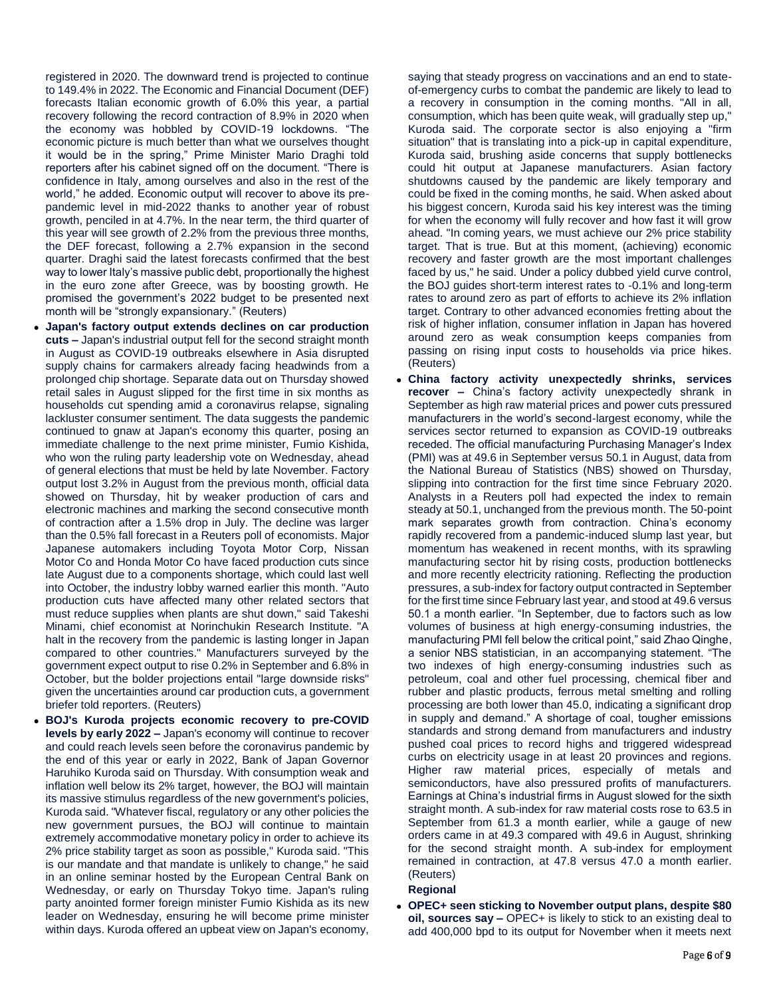registered in 2020. The downward trend is projected to continue to 149.4% in 2022. The Economic and Financial Document (DEF) forecasts Italian economic growth of 6.0% this year, a partial recovery following the record contraction of 8.9% in 2020 when the economy was hobbled by COVID-19 lockdowns. "The economic picture is much better than what we ourselves thought it would be in the spring," Prime Minister Mario Draghi told reporters after his cabinet signed off on the document. "There is confidence in Italy, among ourselves and also in the rest of the world," he added. Economic output will recover to above its prepandemic level in mid-2022 thanks to another year of robust growth, penciled in at 4.7%. In the near term, the third quarter of this year will see growth of 2.2% from the previous three months, the DEF forecast, following a 2.7% expansion in the second quarter. Draghi said the latest forecasts confirmed that the best way to lower Italy's massive public debt, proportionally the highest in the euro zone after Greece, was by boosting growth. He promised the government's 2022 budget to be presented next month will be "strongly expansionary." (Reuters)

- **Japan's factory output extends declines on car production cuts –** Japan's industrial output fell for the second straight month in August as COVID-19 outbreaks elsewhere in Asia disrupted supply chains for carmakers already facing headwinds from a prolonged chip shortage. Separate data out on Thursday showed retail sales in August slipped for the first time in six months as households cut spending amid a coronavirus relapse, signaling lackluster consumer sentiment. The data suggests the pandemic continued to gnaw at Japan's economy this quarter, posing an immediate challenge to the next prime minister, Fumio Kishida, who won the ruling party leadership vote on Wednesday, ahead of general elections that must be held by late November. Factory output lost 3.2% in August from the previous month, official data showed on Thursday, hit by weaker production of cars and electronic machines and marking the second consecutive month of contraction after a 1.5% drop in July. The decline was larger than the 0.5% fall forecast in a Reuters poll of economists. Major Japanese automakers including Toyota Motor Corp, Nissan Motor Co and Honda Motor Co have faced production cuts since late August due to a components shortage, which could last well into October, the industry lobby warned earlier this month. "Auto production cuts have affected many other related sectors that must reduce supplies when plants are shut down," said Takeshi Minami, chief economist at Norinchukin Research Institute. "A halt in the recovery from the pandemic is lasting longer in Japan compared to other countries." Manufacturers surveyed by the government expect output to rise 0.2% in September and 6.8% in October, but the bolder projections entail "large downside risks" given the uncertainties around car production cuts, a government briefer told reporters. (Reuters)
- **BOJ's Kuroda projects economic recovery to pre-COVID levels by early 2022 –** Japan's economy will continue to recover and could reach levels seen before the coronavirus pandemic by the end of this year or early in 2022, Bank of Japan Governor Haruhiko Kuroda said on Thursday. With consumption weak and inflation well below its 2% target, however, the BOJ will maintain its massive stimulus regardless of the new government's policies, Kuroda said. "Whatever fiscal, regulatory or any other policies the new government pursues, the BOJ will continue to maintain extremely accommodative monetary policy in order to achieve its 2% price stability target as soon as possible," Kuroda said. "This is our mandate and that mandate is unlikely to change," he said in an online seminar hosted by the European Central Bank on Wednesday, or early on Thursday Tokyo time. Japan's ruling party anointed former foreign minister Fumio Kishida as its new leader on Wednesday, ensuring he will become prime minister within days. Kuroda offered an upbeat view on Japan's economy,

saying that steady progress on vaccinations and an end to stateof-emergency curbs to combat the pandemic are likely to lead to a recovery in consumption in the coming months. "All in all, consumption, which has been quite weak, will gradually step up," Kuroda said. The corporate sector is also enjoying a "firm situation" that is translating into a pick-up in capital expenditure, Kuroda said, brushing aside concerns that supply bottlenecks could hit output at Japanese manufacturers. Asian factory shutdowns caused by the pandemic are likely temporary and could be fixed in the coming months, he said. When asked about his biggest concern, Kuroda said his key interest was the timing for when the economy will fully recover and how fast it will grow ahead. "In coming years, we must achieve our 2% price stability target. That is true. But at this moment, (achieving) economic recovery and faster growth are the most important challenges faced by us," he said. Under a policy dubbed yield curve control, the BOJ guides short-term interest rates to -0.1% and long-term rates to around zero as part of efforts to achieve its 2% inflation target. Contrary to other advanced economies fretting about the risk of higher inflation, consumer inflation in Japan has hovered around zero as weak consumption keeps companies from passing on rising input costs to households via price hikes. (Reuters)

 **China factory activity unexpectedly shrinks, services recover –** China's factory activity unexpectedly shrank in September as high raw material prices and power cuts pressured manufacturers in the world's second-largest economy, while the services sector returned to expansion as COVID-19 outbreaks receded. The official manufacturing Purchasing Manager's Index (PMI) was at 49.6 in September versus 50.1 in August, data from the National Bureau of Statistics (NBS) showed on Thursday, slipping into contraction for the first time since February 2020. Analysts in a Reuters poll had expected the index to remain steady at 50.1, unchanged from the previous month. The 50-point mark separates growth from contraction. China's economy rapidly recovered from a pandemic-induced slump last year, but momentum has weakened in recent months, with its sprawling manufacturing sector hit by rising costs, production bottlenecks and more recently electricity rationing. Reflecting the production pressures, a sub-index for factory output contracted in September for the first time since February last year, and stood at 49.6 versus 50.1 a month earlier. "In September, due to factors such as low volumes of business at high energy-consuming industries, the manufacturing PMI fell below the critical point," said Zhao Qinghe, a senior NBS statistician, in an accompanying statement. "The two indexes of high energy-consuming industries such as petroleum, coal and other fuel processing, chemical fiber and rubber and plastic products, ferrous metal smelting and rolling processing are both lower than 45.0, indicating a significant drop in supply and demand." A shortage of coal, tougher emissions standards and strong demand from manufacturers and industry pushed coal prices to record highs and triggered widespread curbs on electricity usage in at least 20 provinces and regions. Higher raw material prices, especially of metals and semiconductors, have also pressured profits of manufacturers. Earnings at China's industrial firms in August slowed for the sixth straight month. A sub-index for raw material costs rose to 63.5 in September from 61.3 a month earlier, while a gauge of new orders came in at 49.3 compared with 49.6 in August, shrinking for the second straight month. A sub-index for employment remained in contraction, at 47.8 versus 47.0 a month earlier. (Reuters)

#### **Regional**

 **OPEC+ seen sticking to November output plans, despite \$80 oil, sources say –** OPEC+ is likely to stick to an existing deal to add 400,000 bpd to its output for November when it meets next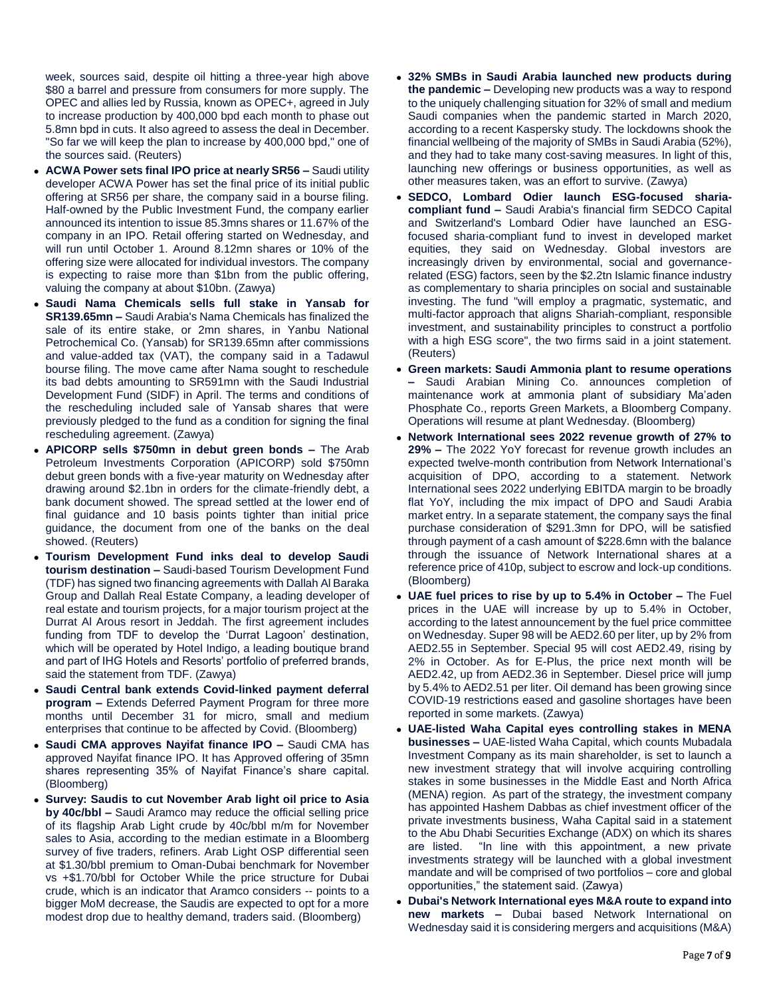week, sources said, despite oil hitting a three-year high above \$80 a barrel and pressure from consumers for more supply. The OPEC and allies led by Russia, known as OPEC+, agreed in July to increase production by 400,000 bpd each month to phase out 5.8mn bpd in cuts. It also agreed to assess the deal in December. "So far we will keep the plan to increase by 400,000 bpd," one of the sources said. (Reuters)

- **ACWA Power sets final IPO price at nearly SR56 –** Saudi utility developer ACWA Power has set the final price of its initial public offering at SR56 per share, the company said in a bourse filing. Half-owned by the Public Investment Fund, the company earlier announced its intention to issue 85.3mns shares or 11.67% of the company in an IPO. Retail offering started on Wednesday, and will run until October 1. Around 8.12mn shares or 10% of the offering size were allocated for individual investors. The company is expecting to raise more than \$1bn from the public offering, valuing the company at about \$10bn. (Zawya)
- **Saudi Nama Chemicals sells full stake in Yansab for SR139.65mn –** Saudi Arabia's Nama Chemicals has finalized the sale of its entire stake, or 2mn shares, in Yanbu National Petrochemical Co. (Yansab) for SR139.65mn after commissions and value-added tax (VAT), the company said in a Tadawul bourse filing. The move came after Nama sought to reschedule its bad debts amounting to SR591mn with the Saudi Industrial Development Fund (SIDF) in April. The terms and conditions of the rescheduling included sale of Yansab shares that were previously pledged to the fund as a condition for signing the final rescheduling agreement. (Zawya)
- **APICORP sells \$750mn in debut green bonds –** The Arab Petroleum Investments Corporation (APICORP) sold \$750mn debut green bonds with a five-year maturity on Wednesday after drawing around \$2.1bn in orders for the climate-friendly debt, a bank document showed. The spread settled at the lower end of final guidance and 10 basis points tighter than initial price guidance, the document from one of the banks on the deal showed. (Reuters)
- **Tourism Development Fund inks deal to develop Saudi tourism destination –** Saudi-based Tourism Development Fund (TDF) has signed two financing agreements with Dallah Al Baraka Group and Dallah Real Estate Company, a leading developer of real estate and tourism projects, for a major tourism project at the Durrat Al Arous resort in Jeddah. The first agreement includes funding from TDF to develop the 'Durrat Lagoon' destination, which will be operated by Hotel Indigo, a leading boutique brand and part of IHG Hotels and Resorts' portfolio of preferred brands, said the statement from TDF. (Zawya)
- **Saudi Central bank extends Covid-linked payment deferral program –** Extends Deferred Payment Program for three more months until December 31 for micro, small and medium enterprises that continue to be affected by Covid. (Bloomberg)
- **Saudi CMA approves Nayifat finance IPO –** Saudi CMA has approved Nayifat finance IPO. It has Approved offering of 35mn shares representing 35% of Nayifat Finance's share capital. (Bloomberg)
- **Survey: Saudis to cut November Arab light oil price to Asia by 40c/bbl –** Saudi Aramco may reduce the official selling price of its flagship Arab Light crude by 40c/bbl m/m for November sales to Asia, according to the median estimate in a Bloomberg survey of five traders, refiners. Arab Light OSP differential seen at \$1.30/bbl premium to Oman-Dubai benchmark for November vs +\$1.70/bbl for October While the price structure for Dubai crude, which is an indicator that Aramco considers -- points to a bigger MoM decrease, the Saudis are expected to opt for a more modest drop due to healthy demand, traders said. (Bloomberg)
- **32% SMBs in Saudi Arabia launched new products during the pandemic –** Developing new products was a way to respond to the uniquely challenging situation for 32% of small and medium Saudi companies when the pandemic started in March 2020, according to a recent Kaspersky study. The lockdowns shook the financial wellbeing of the majority of SMBs in Saudi Arabia (52%), and they had to take many cost-saving measures. In light of this, launching new offerings or business opportunities, as well as other measures taken, was an effort to survive. (Zawya)
- **SEDCO, Lombard Odier launch ESG-focused shariacompliant fund –** Saudi Arabia's financial firm SEDCO Capital and Switzerland's Lombard Odier have launched an ESGfocused sharia-compliant fund to invest in developed market equities, they said on Wednesday. Global investors are increasingly driven by environmental, social and governancerelated (ESG) factors, seen by the \$2.2tn Islamic finance industry as complementary to sharia principles on social and sustainable investing. The fund "will employ a pragmatic, systematic, and multi-factor approach that aligns Shariah-compliant, responsible investment, and sustainability principles to construct a portfolio with a high ESG score", the two firms said in a joint statement. (Reuters)
- **Green markets: Saudi Ammonia plant to resume operations –** Saudi Arabian Mining Co. announces completion of maintenance work at ammonia plant of subsidiary Ma'aden Phosphate Co., reports Green Markets, a Bloomberg Company. Operations will resume at plant Wednesday. (Bloomberg)
- **Network International sees 2022 revenue growth of 27% to 29% –** The 2022 YoY forecast for revenue growth includes an expected twelve-month contribution from Network International's acquisition of DPO, according to a statement. Network International sees 2022 underlying EBITDA margin to be broadly flat YoY, including the mix impact of DPO and Saudi Arabia market entry. In a separate statement, the company says the final purchase consideration of \$291.3mn for DPO, will be satisfied through payment of a cash amount of \$228.6mn with the balance through the issuance of Network International shares at a reference price of 410p, subject to escrow and lock-up conditions. (Bloomberg)
- **UAE fuel prices to rise by up to 5.4% in October –** The Fuel prices in the UAE will increase by up to 5.4% in October, according to the latest announcement by the fuel price committee on Wednesday. Super 98 will be AED2.60 per liter, up by 2% from AED2.55 in September. Special 95 will cost AED2.49, rising by 2% in October. As for E-Plus, the price next month will be AED2.42, up from AED2.36 in September. Diesel price will jump by 5.4% to AED2.51 per liter. Oil demand has been growing since COVID-19 restrictions eased and gasoline shortages have been reported in some markets. (Zawya)
- **UAE-listed Waha Capital eyes controlling stakes in MENA businesses –** UAE-listed Waha Capital, which counts Mubadala Investment Company as its main shareholder, is set to launch a new investment strategy that will involve acquiring controlling stakes in some businesses in the Middle East and North Africa (MENA) region. As part of the strategy, the investment company has appointed Hashem Dabbas as chief investment officer of the private investments business, Waha Capital said in a statement to the Abu Dhabi Securities Exchange (ADX) on which its shares are listed. "In line with this appointment, a new private investments strategy will be launched with a global investment mandate and will be comprised of two portfolios – core and global opportunities," the statement said. (Zawya)
- **Dubai's Network International eyes M&A route to expand into new markets –** Dubai based Network International on Wednesday said it is considering mergers and acquisitions (M&A)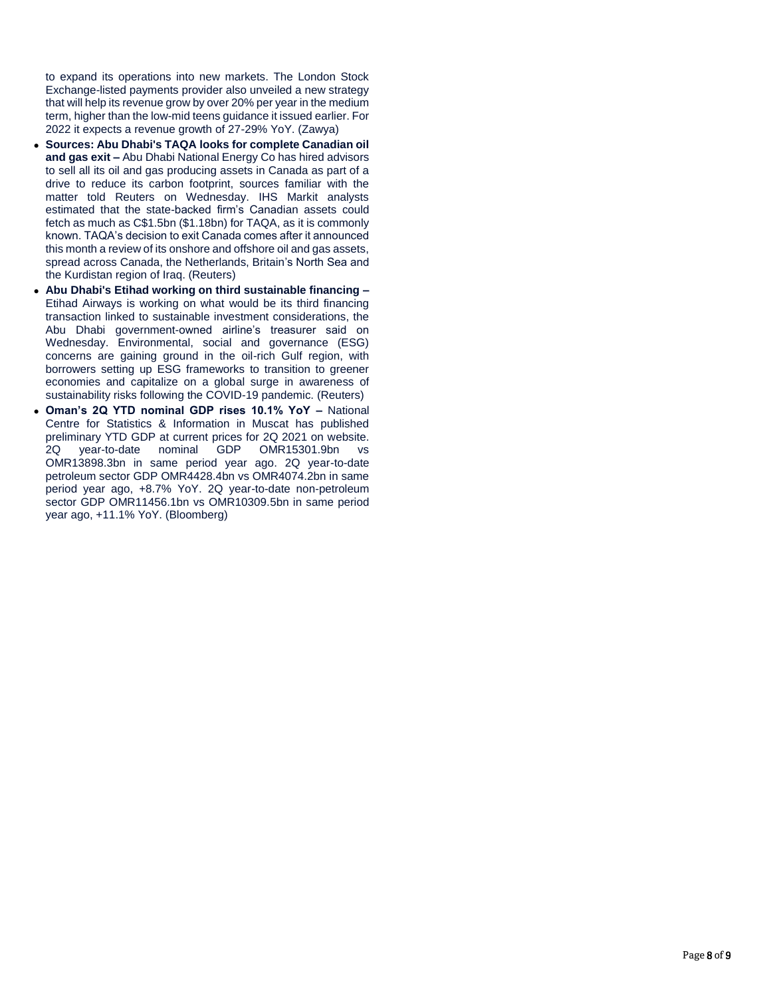to expand its operations into new markets. The London Stock Exchange-listed payments provider also unveiled a new strategy that will help its revenue grow by over 20% per year in the medium term, higher than the low-mid teens guidance it issued earlier. For 2022 it expects a revenue growth of 27-29% YoY. (Zawya)

- **Sources: Abu Dhabi's TAQA looks for complete Canadian oil and gas exit –** Abu Dhabi National Energy Co has hired advisors to sell all its oil and gas producing assets in Canada as part of a drive to reduce its carbon footprint, sources familiar with the matter told Reuters on Wednesday. IHS Markit analysts estimated that the state-backed firm's Canadian assets could fetch as much as C\$1.5bn (\$1.18bn) for TAQA, as it is commonly known. TAQA's decision to exit Canada comes after it announced this month a review of its onshore and offshore oil and gas assets, spread across Canada, the Netherlands, Britain's North Sea and the Kurdistan region of Iraq. (Reuters)
- **Abu Dhabi's Etihad working on third sustainable financing –** Etihad Airways is working on what would be its third financing transaction linked to sustainable investment considerations, the Abu Dhabi government-owned airline's treasurer said on Wednesday. Environmental, social and governance (ESG) concerns are gaining ground in the oil-rich Gulf region, with borrowers setting up ESG frameworks to transition to greener economies and capitalize on a global surge in awareness of sustainability risks following the COVID-19 pandemic. (Reuters)
- **Oman's 2Q YTD nominal GDP rises 10.1% YoY –** National Centre for Statistics & Information in Muscat has published preliminary YTD GDP at current prices for 2Q 2021 on website.<br>2Q vear-to-date nominal GDP OMR15301.9bn vs 2Q year-to-date nominal GDP OMR15301.9bn vs OMR13898.3bn in same period year ago. 2Q year-to-date petroleum sector GDP OMR4428.4bn vs OMR4074.2bn in same period year ago, +8.7% YoY. 2Q year-to-date non-petroleum sector GDP OMR11456.1bn vs OMR10309.5bn in same period year ago, +11.1% YoY. (Bloomberg)